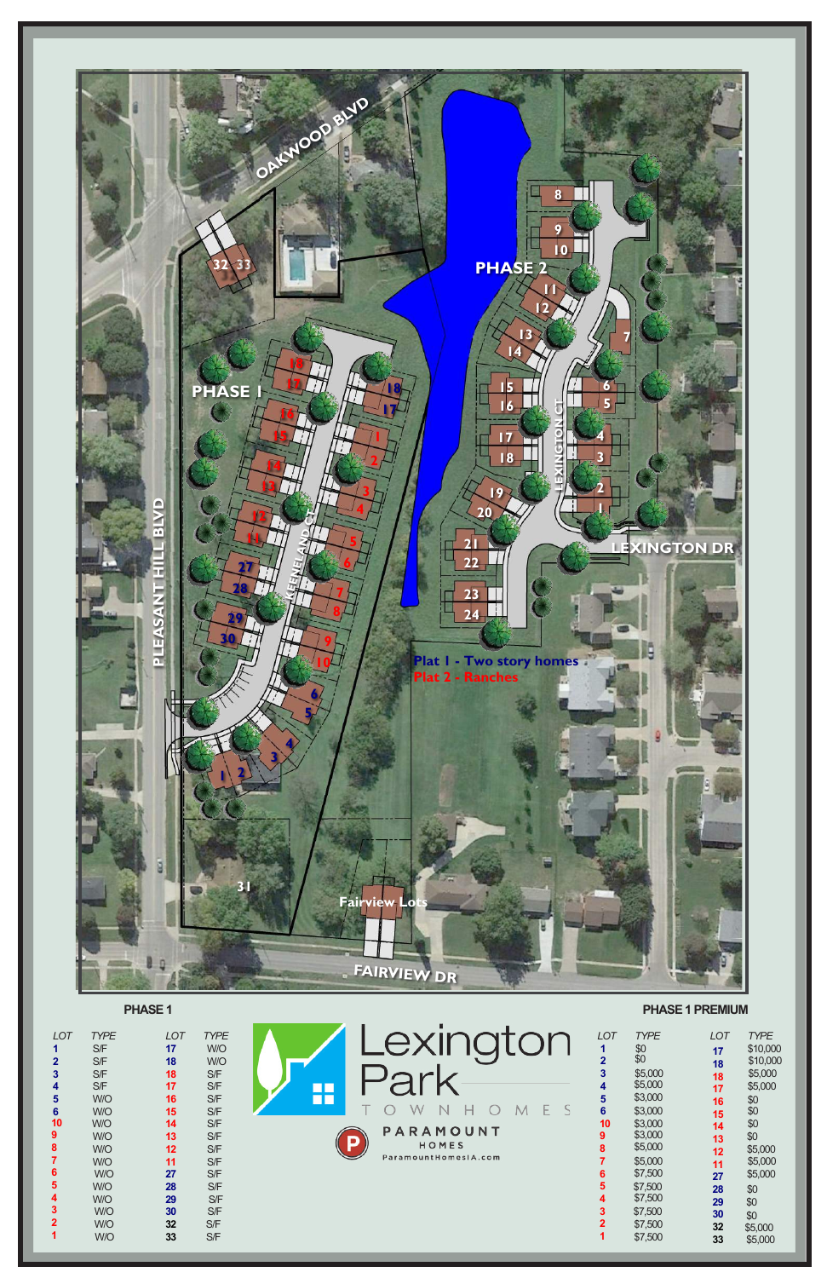

**PHASE 1** 

*LOT*<br> **1**<br> **2**<br> **3**<br> **4**<br> **5**<br> **6**<br> **6**<br> **5**<br> **6**<br> **6**<br> **6**<br> **5**<br> **6**<br> **6**<br> **5**<br> **6**<br> **5**<br> **4**<br> **3**<br> **7**<br> **1** 

**PHASE 1 PREMIUM**

| <b>TYPE</b><br>S/F<br>S/F<br>S/F<br>S/F<br>W/O<br>W/O<br>W/O<br>W/O<br>W/O<br>W/O<br>W/O<br>W/O<br>W/O<br>W/O<br>W/O<br>W/O | <b>LOT</b><br>17<br>18<br>18<br>17<br>16<br>15<br>14<br>13<br>12<br>11<br>27<br>28<br>29<br>30<br>32<br>33 | <b>TYPE</b><br>W/O<br>W/O<br>S/F<br>S/F<br>S/F<br>S/F<br>S/F<br>S/F<br>S/F<br>S/F<br>S/F<br>S/F<br>S/F<br>S/F<br>S/F<br>S/F | $\Box$<br>O۳<br>88<br>W<br>PARAMOUNT<br>в<br>HOMES<br>ParamountHomesIA.com | <b>LOT</b><br>$\overline{2}$<br>3<br>4<br>5<br>6<br>10<br>9<br>8<br>6<br>5<br>4<br>3<br>$\mathbf{2}$ | <b>TYPE</b><br>$$0$<br>$$0$<br>\$5,000<br>\$5,000<br>\$3,000<br>\$3,000<br>\$3,000<br>\$3,000<br>\$5,000<br>\$5,000<br>\$7,500<br>\$7,500<br>\$7,500<br>\$7,500<br>\$7,500<br>\$7,500 | <b>LOT</b><br>17<br>18<br>18<br>17<br>16<br>15<br>14<br>13<br>12<br>11<br>27<br>28<br>29<br>30<br>32<br>33 | <b>TYPE</b><br>\$10,000<br>\$10,000<br>\$5,000<br>\$5,000<br>\$0<br>\$0<br>\$0<br>\$0<br>\$5,000<br>\$5,000<br>\$5,000<br>\$0<br>\$0<br>\$0<br>\$5,000<br>\$5,000 |
|-----------------------------------------------------------------------------------------------------------------------------|------------------------------------------------------------------------------------------------------------|-----------------------------------------------------------------------------------------------------------------------------|----------------------------------------------------------------------------|------------------------------------------------------------------------------------------------------|---------------------------------------------------------------------------------------------------------------------------------------------------------------------------------------|------------------------------------------------------------------------------------------------------------|-------------------------------------------------------------------------------------------------------------------------------------------------------------------|
|-----------------------------------------------------------------------------------------------------------------------------|------------------------------------------------------------------------------------------------------------|-----------------------------------------------------------------------------------------------------------------------------|----------------------------------------------------------------------------|------------------------------------------------------------------------------------------------------|---------------------------------------------------------------------------------------------------------------------------------------------------------------------------------------|------------------------------------------------------------------------------------------------------------|-------------------------------------------------------------------------------------------------------------------------------------------------------------------|